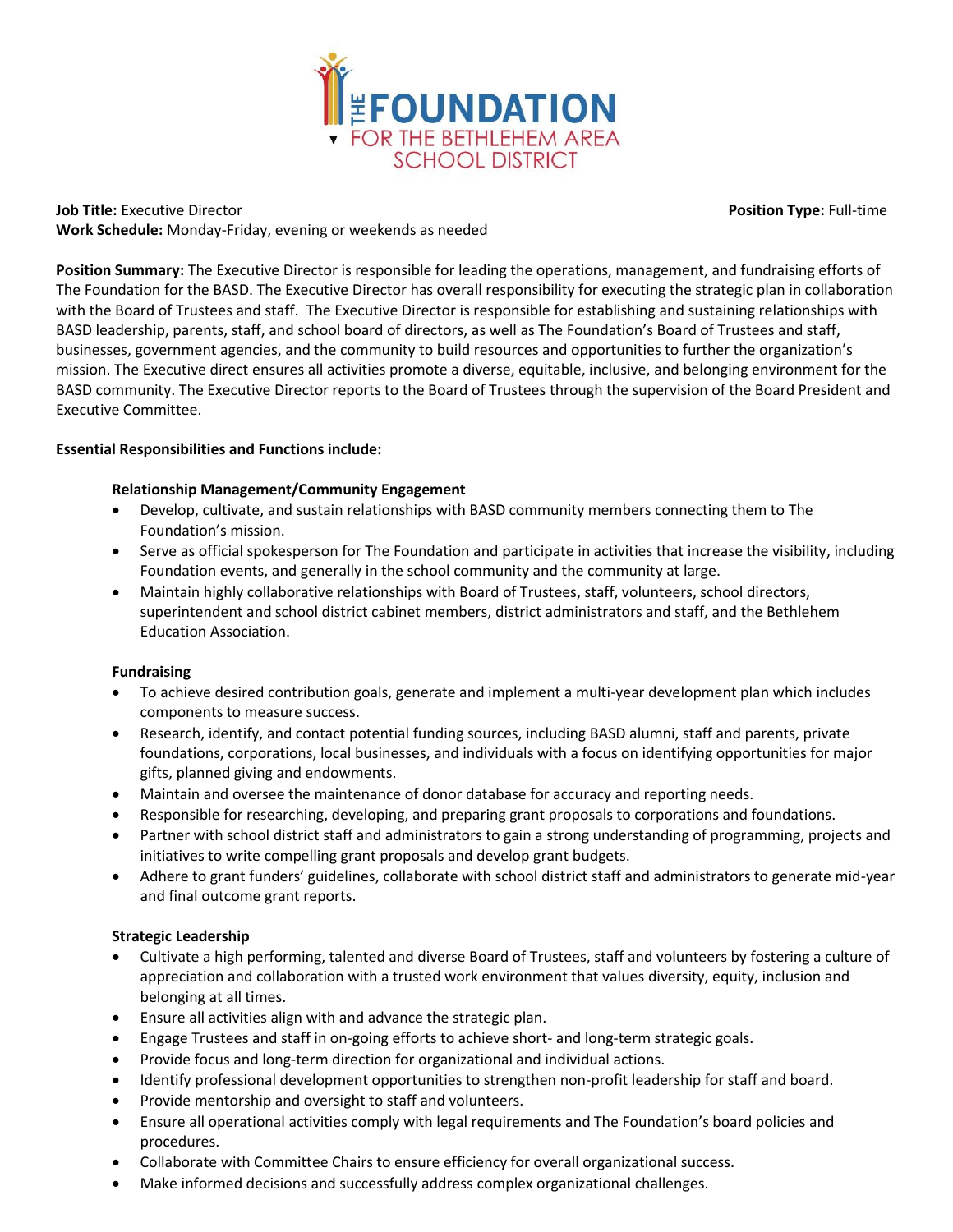

**Job Title:** Executive Director **Position Type:** Full-time **Work Schedule:** Monday-Friday, evening or weekends as needed

**Position Summary:** The Executive Director is responsible for leading the operations, management, and fundraising efforts of The Foundation for the BASD. The Executive Director has overall responsibility for executing the strategic plan in collaboration with the Board of Trustees and staff. The Executive Director is responsible for establishing and sustaining relationships with BASD leadership, parents, staff, and school board of directors, as well as The Foundation's Board of Trustees and staff, businesses, government agencies, and the community to build resources and opportunities to further the organization's mission. The Executive direct ensures all activities promote a diverse, equitable, inclusive, and belonging environment for the BASD community. The Executive Director reports to the Board of Trustees through the supervision of the Board President and Executive Committee.

## **Essential Responsibilities and Functions include:**

## **Relationship Management/Community Engagement**

- Develop, cultivate, and sustain relationships with BASD community members connecting them to The Foundation's mission.
- Serve as official spokesperson for The Foundation and participate in activities that increase the visibility, including Foundation events, and generally in the school community and the community at large.
- Maintain highly collaborative relationships with Board of Trustees, staff, volunteers, school directors, superintendent and school district cabinet members, district administrators and staff, and the Bethlehem Education Association.

## **Fundraising**

- To achieve desired contribution goals, generate and implement a multi-year development plan which includes components to measure success.
- Research, identify, and contact potential funding sources, including BASD alumni, staff and parents, private foundations, corporations, local businesses, and individuals with a focus on identifying opportunities for major gifts, planned giving and endowments.
- Maintain and oversee the maintenance of donor database for accuracy and reporting needs.
- Responsible for researching, developing, and preparing grant proposals to corporations and foundations.
- Partner with school district staff and administrators to gain a strong understanding of programming, projects and initiatives to write compelling grant proposals and develop grant budgets.
- Adhere to grant funders' guidelines, collaborate with school district staff and administrators to generate mid-year and final outcome grant reports.

# **Strategic Leadership**

- Cultivate a high performing, talented and diverse Board of Trustees, staff and volunteers by fostering a culture of appreciation and collaboration with a trusted work environment that values diversity, equity, inclusion and belonging at all times.
- Ensure all activities align with and advance the strategic plan.
- Engage Trustees and staff in on-going efforts to achieve short- and long-term strategic goals.
- Provide focus and long-term direction for organizational and individual actions.
- Identify professional development opportunities to strengthen non-profit leadership for staff and board.
- Provide mentorship and oversight to staff and volunteers.
- Ensure all operational activities comply with legal requirements and The Foundation's board policies and procedures.
- Collaborate with Committee Chairs to ensure efficiency for overall organizational success.
- Make informed decisions and successfully address complex organizational challenges.